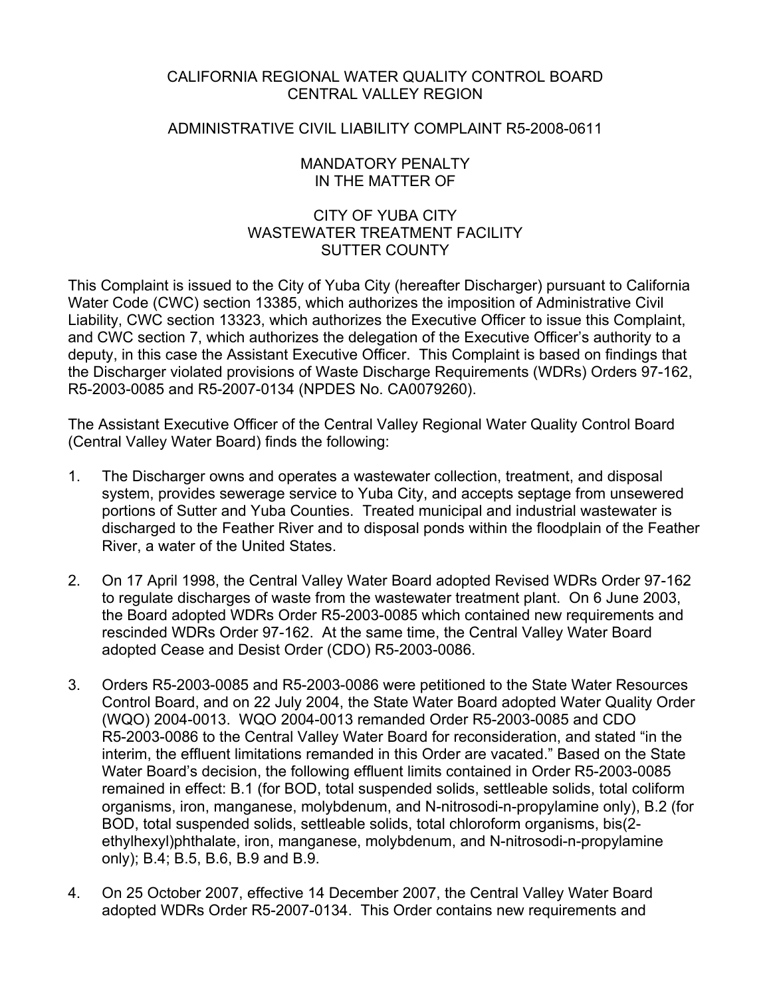## CALIFORNIA REGIONAL WATER QUALITY CONTROL BOARD CENTRAL VALLEY REGION

## ADMINISTRATIVE CIVIL LIABILITY COMPLAINT R5-2008-0611

## MANDATORY PENALTY IN THE MATTER OF

# CITY OF YUBA CITY WASTEWATER TREATMENT FACILITY SUTTER COUNTY

This Complaint is issued to the City of Yuba City (hereafter Discharger) pursuant to California Water Code (CWC) section 13385, which authorizes the imposition of Administrative Civil Liability, CWC section 13323, which authorizes the Executive Officer to issue this Complaint, and CWC section 7, which authorizes the delegation of the Executive Officer's authority to a deputy, in this case the Assistant Executive Officer. This Complaint is based on findings that the Discharger violated provisions of Waste Discharge Requirements (WDRs) Orders 97-162, R5-2003-0085 and R5-2007-0134 (NPDES No. CA0079260).

The Assistant Executive Officer of the Central Valley Regional Water Quality Control Board (Central Valley Water Board) finds the following:

- 1. The Discharger owns and operates a wastewater collection, treatment, and disposal system, provides sewerage service to Yuba City, and accepts septage from unsewered portions of Sutter and Yuba Counties. Treated municipal and industrial wastewater is discharged to the Feather River and to disposal ponds within the floodplain of the Feather River, a water of the United States.
- 2. On 17 April 1998, the Central Valley Water Board adopted Revised WDRs Order 97-162 to regulate discharges of waste from the wastewater treatment plant. On 6 June 2003, the Board adopted WDRs Order R5-2003-0085 which contained new requirements and rescinded WDRs Order 97-162. At the same time, the Central Valley Water Board adopted Cease and Desist Order (CDO) R5-2003-0086.
- 3. Orders R5-2003-0085 and R5-2003-0086 were petitioned to the State Water Resources Control Board, and on 22 July 2004, the State Water Board adopted Water Quality Order (WQO) 2004-0013. WQO 2004-0013 remanded Order R5-2003-0085 and CDO R5-2003-0086 to the Central Valley Water Board for reconsideration, and stated "in the interim, the effluent limitations remanded in this Order are vacated." Based on the State Water Board's decision, the following effluent limits contained in Order R5-2003-0085 remained in effect: B.1 (for BOD, total suspended solids, settleable solids, total coliform organisms, iron, manganese, molybdenum, and N-nitrosodi-n-propylamine only), B.2 (for BOD, total suspended solids, settleable solids, total chloroform organisms, bis(2 ethylhexyl)phthalate, iron, manganese, molybdenum, and N-nitrosodi-n-propylamine only); B.4; B.5, B.6, B.9 and B.9.
- 4. On 25 October 2007, effective 14 December 2007, the Central Valley Water Board adopted WDRs Order R5-2007-0134. This Order contains new requirements and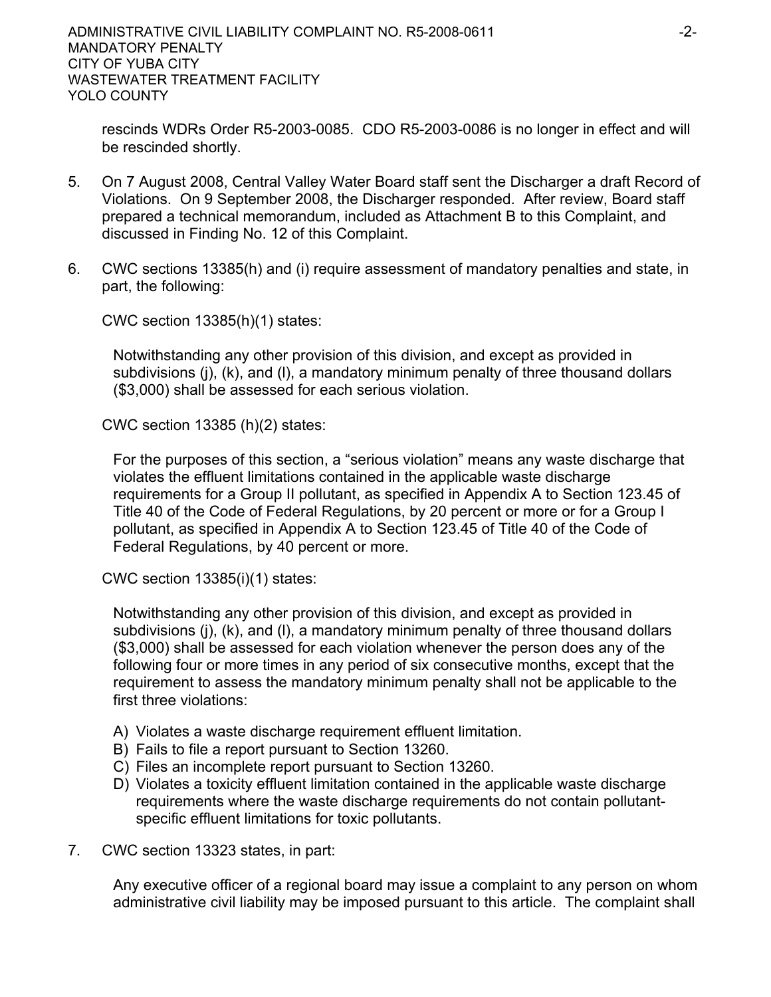rescinds WDRs Order R5-2003-0085. CDO R5-2003-0086 is no longer in effect and will be rescinded shortly.

- 5. On 7 August 2008, Central Valley Water Board staff sent the Discharger a draft Record of Violations. On 9 September 2008, the Discharger responded. After review, Board staff prepared a technical memorandum, included as Attachment B to this Complaint, and discussed in Finding No. 12 of this Complaint.
- 6. CWC sections 13385(h) and (i) require assessment of mandatory penalties and state, in part, the following:

CWC section 13385(h)(1) states:

Notwithstanding any other provision of this division, and except as provided in subdivisions (j), (k), and (l), a mandatory minimum penalty of three thousand dollars (\$3,000) shall be assessed for each serious violation.

CWC section 13385 (h)(2) states:

For the purposes of this section, a "serious violation" means any waste discharge that violates the effluent limitations contained in the applicable waste discharge requirements for a Group II pollutant, as specified in Appendix A to Section 123.45 of Title 40 of the Code of Federal Regulations, by 20 percent or more or for a Group I pollutant, as specified in Appendix A to Section 123.45 of Title 40 of the Code of Federal Regulations, by 40 percent or more.

CWC section 13385(i)(1) states:

Notwithstanding any other provision of this division, and except as provided in subdivisions (j), (k), and (l), a mandatory minimum penalty of three thousand dollars (\$3,000) shall be assessed for each violation whenever the person does any of the following four or more times in any period of six consecutive months, except that the requirement to assess the mandatory minimum penalty shall not be applicable to the first three violations:

- A) Violates a waste discharge requirement effluent limitation.
- B) Fails to file a report pursuant to Section 13260.
- C) Files an incomplete report pursuant to Section 13260.
- D) Violates a toxicity effluent limitation contained in the applicable waste discharge requirements where the waste discharge requirements do not contain pollutantspecific effluent limitations for toxic pollutants.
- 7. CWC section 13323 states, in part:

Any executive officer of a regional board may issue a complaint to any person on whom administrative civil liability may be imposed pursuant to this article. The complaint shall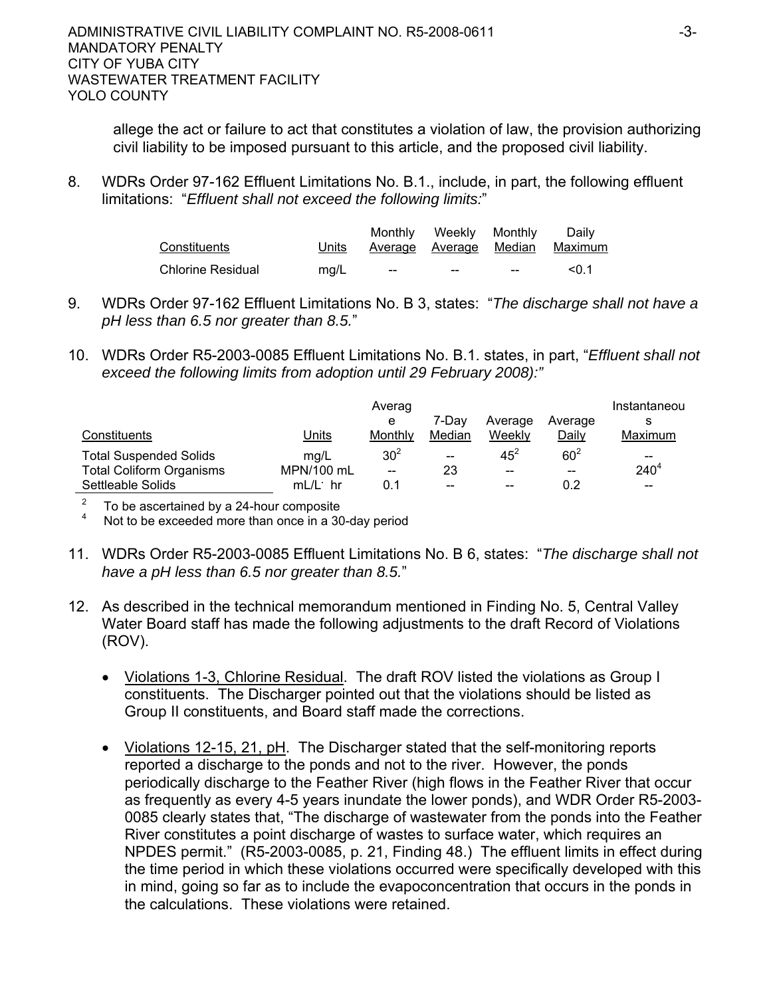allege the act or failure to act that constitutes a violation of law, the provision authorizing civil liability to be imposed pursuant to this article, and the proposed civil liability.

8. WDRs Order 97-162 Effluent Limitations No. B.1., include, in part, the following effluent limitations: "*Effluent shall not exceed the following limits:*"

| Constituents             | Units | Monthly | Weekly<br>Average Average Median | Monthly | Dailv<br>Maximum |
|--------------------------|-------|---------|----------------------------------|---------|------------------|
| <b>Chlorine Residual</b> | ma/L  | $- -$   | $- -$                            | $- -$   | < 0.1            |

- 9. WDRs Order 97-162 Effluent Limitations No. B 3, states: "*The discharge shall not have a pH less than 6.5 nor greater than 8.5.*"
- 10. WDRs Order R5-2003-0085 Effluent Limitations No. B.1. states, in part, "*Effluent shall not exceed the following limits from adoption until 29 February 2008):"*

|                                 |            | Averag<br>е     | 7-Dav             | Average | Average | Instantaneou |
|---------------------------------|------------|-----------------|-------------------|---------|---------|--------------|
| Constituents                    | Units      | Monthly         | Median            | Weekly  | Daily   | Maximum      |
| <b>Total Suspended Solids</b>   | mg/L       | 30 <sup>2</sup> | $\hspace{0.05cm}$ | $45^2$  | $60^2$  | $- -$        |
| <b>Total Coliform Organisms</b> | MPN/100 mL | --              | 23                | $-$     | $- -$   | $240^{4}$    |
| Settleable Solids               | $mL/L$ hr  | 0.1             | $- -$             | $\sim$  | 0.2     | $-$          |

2 To be ascertained by a 24-hour composite

4 Not to be exceeded more than once in a 30-day period

- 11. WDRs Order R5-2003-0085 Effluent Limitations No. B 6, states: "*The discharge shall not have a pH less than 6.5 nor greater than 8.5.*"
- 12. As described in the technical memorandum mentioned in Finding No. 5, Central Valley Water Board staff has made the following adjustments to the draft Record of Violations (ROV).
	- Violations 1-3, Chlorine Residual. The draft ROV listed the violations as Group I constituents. The Discharger pointed out that the violations should be listed as Group II constituents, and Board staff made the corrections.
	- Violations 12-15, 21, pH. The Discharger stated that the self-monitoring reports reported a discharge to the ponds and not to the river. However, the ponds periodically discharge to the Feather River (high flows in the Feather River that occur as frequently as every 4-5 years inundate the lower ponds), and WDR Order R5-2003- 0085 clearly states that, "The discharge of wastewater from the ponds into the Feather River constitutes a point discharge of wastes to surface water, which requires an NPDES permit." (R5-2003-0085, p. 21, Finding 48.) The effluent limits in effect during the time period in which these violations occurred were specifically developed with this in mind, going so far as to include the evapoconcentration that occurs in the ponds in the calculations. These violations were retained.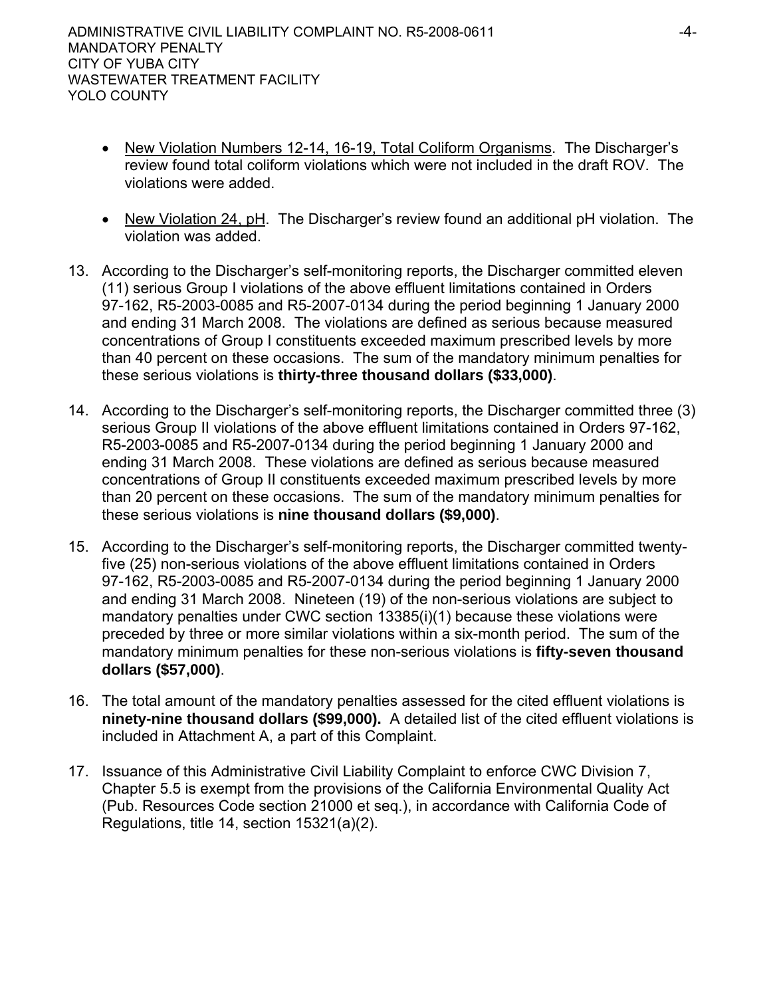- New Violation Numbers 12-14, 16-19, Total Coliform Organisms. The Discharger's review found total coliform violations which were not included in the draft ROV. The violations were added.
- New Violation 24, pH. The Discharger's review found an additional pH violation. The violation was added.
- 13. According to the Discharger's self-monitoring reports, the Discharger committed eleven (11) serious Group I violations of the above effluent limitations contained in Orders 97-162, R5-2003-0085 and R5-2007-0134 during the period beginning 1 January 2000 and ending 31 March 2008. The violations are defined as serious because measured concentrations of Group I constituents exceeded maximum prescribed levels by more than 40 percent on these occasions. The sum of the mandatory minimum penalties for these serious violations is **thirty-three thousand dollars (\$33,000)**.
- 14. According to the Discharger's self-monitoring reports, the Discharger committed three (3) serious Group II violations of the above effluent limitations contained in Orders 97-162, R5-2003-0085 and R5-2007-0134 during the period beginning 1 January 2000 and ending 31 March 2008. These violations are defined as serious because measured concentrations of Group II constituents exceeded maximum prescribed levels by more than 20 percent on these occasions. The sum of the mandatory minimum penalties for these serious violations is **nine thousand dollars (\$9,000)**.
- 15. According to the Discharger's self-monitoring reports, the Discharger committed twentyfive (25) non-serious violations of the above effluent limitations contained in Orders 97-162, R5-2003-0085 and R5-2007-0134 during the period beginning 1 January 2000 and ending 31 March 2008. Nineteen (19) of the non-serious violations are subject to mandatory penalties under CWC section 13385(i)(1) because these violations were preceded by three or more similar violations within a six-month period. The sum of the mandatory minimum penalties for these non-serious violations is **fifty-seven thousand dollars (\$57,000)**.
- 16. The total amount of the mandatory penalties assessed for the cited effluent violations is **ninety-nine thousand dollars (\$99,000).** A detailed list of the cited effluent violations is included in Attachment A, a part of this Complaint.
- 17. Issuance of this Administrative Civil Liability Complaint to enforce CWC Division 7, Chapter 5.5 is exempt from the provisions of the California Environmental Quality Act (Pub. Resources Code section 21000 et seq.), in accordance with California Code of Regulations, title 14, section 15321(a)(2).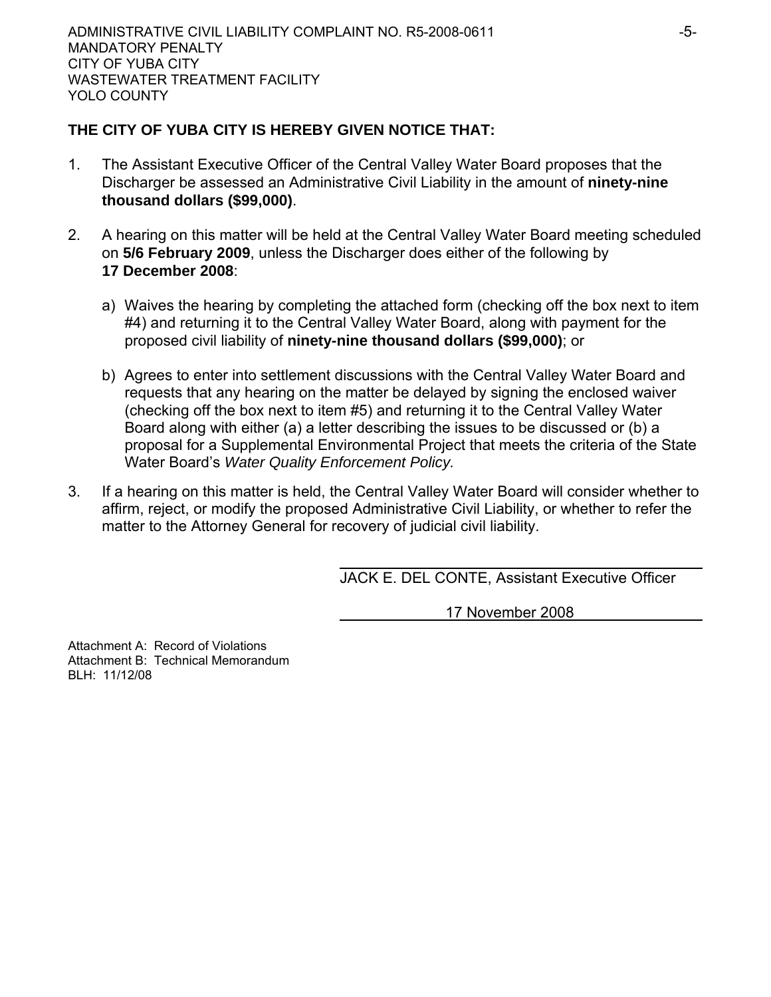# **THE CITY OF YUBA CITY IS HEREBY GIVEN NOTICE THAT:**

- 1. The Assistant Executive Officer of the Central Valley Water Board proposes that the Discharger be assessed an Administrative Civil Liability in the amount of **ninety-nine thousand dollars (\$99,000)**.
- 2. A hearing on this matter will be held at the Central Valley Water Board meeting scheduled on **5/6 February 2009**, unless the Discharger does either of the following by **17 December 2008**:
	- a) Waives the hearing by completing the attached form (checking off the box next to item #4) and returning it to the Central Valley Water Board, along with payment for the proposed civil liability of **ninety-nine thousand dollars (\$99,000)**; or
	- b) Agrees to enter into settlement discussions with the Central Valley Water Board and requests that any hearing on the matter be delayed by signing the enclosed waiver (checking off the box next to item #5) and returning it to the Central Valley Water Board along with either (a) a letter describing the issues to be discussed or (b) a proposal for a Supplemental Environmental Project that meets the criteria of the State Water Board's *Water Quality Enforcement Policy.*
- 3. If a hearing on this matter is held, the Central Valley Water Board will consider whether to affirm, reject, or modify the proposed Administrative Civil Liability, or whether to refer the matter to the Attorney General for recovery of judicial civil liability.

JACK E. DEL CONTE, Assistant Executive Officer

17 November 2008

Attachment A: Record of Violations Attachment B: Technical Memorandum BLH: 11/12/08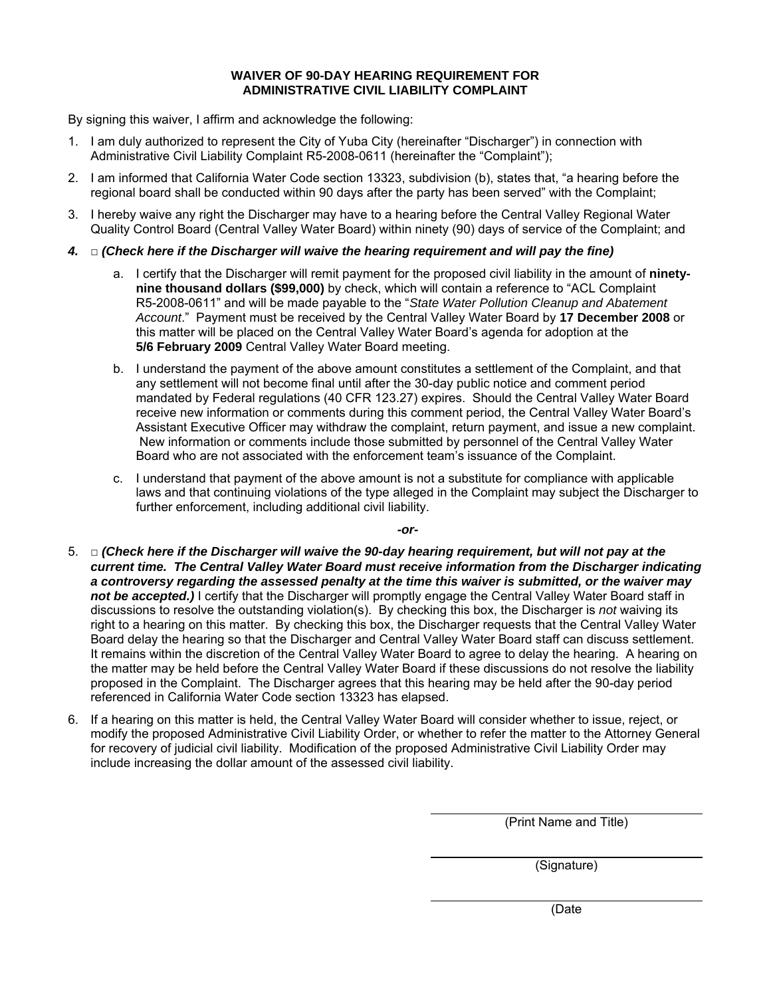### **WAIVER OF 90-DAY HEARING REQUIREMENT FOR ADMINISTRATIVE CIVIL LIABILITY COMPLAINT**

By signing this waiver, I affirm and acknowledge the following:

- 1. I am duly authorized to represent the City of Yuba City (hereinafter "Discharger") in connection with Administrative Civil Liability Complaint R5-2008-0611 (hereinafter the "Complaint");
- 2. I am informed that California Water Code section 13323, subdivision (b), states that, "a hearing before the regional board shall be conducted within 90 days after the party has been served" with the Complaint;
- 3. I hereby waive any right the Discharger may have to a hearing before the Central Valley Regional Water Quality Control Board (Central Valley Water Board) within ninety (90) days of service of the Complaint; and
- *4.* □ *(Check here if the Discharger will waive the hearing requirement and will pay the fine)* 
	- a. I certify that the Discharger will remit payment for the proposed civil liability in the amount of **ninetynine thousand dollars (\$99,000)** by check, which will contain a reference to "ACL Complaint R5-2008-0611" and will be made payable to the "*State Water Pollution Cleanup and Abatement Account*." Payment must be received by the Central Valley Water Board by **17 December 2008** or this matter will be placed on the Central Valley Water Board's agenda for adoption at the **5/6 February 2009** Central Valley Water Board meeting.
	- b. I understand the payment of the above amount constitutes a settlement of the Complaint, and that any settlement will not become final until after the 30-day public notice and comment period mandated by Federal regulations (40 CFR 123.27) expires. Should the Central Valley Water Board receive new information or comments during this comment period, the Central Valley Water Board's Assistant Executive Officer may withdraw the complaint, return payment, and issue a new complaint. New information or comments include those submitted by personnel of the Central Valley Water Board who are not associated with the enforcement team's issuance of the Complaint.
	- c. I understand that payment of the above amount is not a substitute for compliance with applicable laws and that continuing violations of the type alleged in the Complaint may subject the Discharger to further enforcement, including additional civil liability.

*-or-*

- 5. □ *(Check here if the Discharger will waive the 90-day hearing requirement, but will not pay at the current time. The Central Valley Water Board must receive information from the Discharger indicating a controversy regarding the assessed penalty at the time this waiver is submitted, or the waiver may not be accepted.)* I certify that the Discharger will promptly engage the Central Valley Water Board staff in discussions to resolve the outstanding violation(s). By checking this box, the Discharger is *not* waiving its right to a hearing on this matter. By checking this box, the Discharger requests that the Central Valley Water Board delay the hearing so that the Discharger and Central Valley Water Board staff can discuss settlement. It remains within the discretion of the Central Valley Water Board to agree to delay the hearing. A hearing on the matter may be held before the Central Valley Water Board if these discussions do not resolve the liability proposed in the Complaint. The Discharger agrees that this hearing may be held after the 90-day period referenced in California Water Code section 13323 has elapsed.
- 6. If a hearing on this matter is held, the Central Valley Water Board will consider whether to issue, reject, or modify the proposed Administrative Civil Liability Order, or whether to refer the matter to the Attorney General for recovery of judicial civil liability. Modification of the proposed Administrative Civil Liability Order may include increasing the dollar amount of the assessed civil liability.

(Print Name and Title)

(Signature)

(Date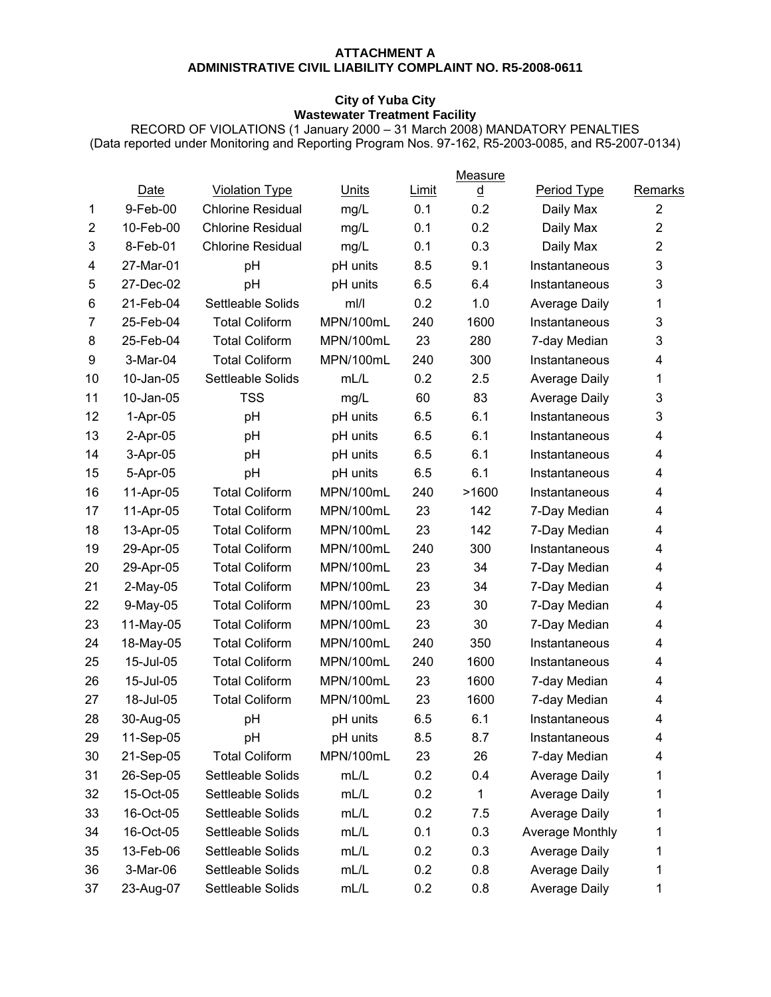### **ATTACHMENT A ADMINISTRATIVE CIVIL LIABILITY COMPLAINT NO. R5-2008-0611**

## **City of Yuba City Wastewater Treatment Facility**

RECORD OF VIOLATIONS (1 January 2000 – 31 March 2008) MANDATORY PENALTIES (Data reported under Monitoring and Reporting Program Nos. 97-162, R5-2003-0085, and R5-2007-0134)

|                |             |                          |           |              | Measure  |                      |                |
|----------------|-------------|--------------------------|-----------|--------------|----------|----------------------|----------------|
|                | Date        | <b>Violation Type</b>    | Units     | <b>Limit</b> | <u>d</u> | Period Type          | Remarks        |
| 1              | 9-Feb-00    | <b>Chlorine Residual</b> | mg/L      | 0.1          | 0.2      | Daily Max            | $\overline{2}$ |
| $\overline{2}$ | 10-Feb-00   | <b>Chlorine Residual</b> | mg/L      | 0.1          | 0.2      | Daily Max            | $\overline{2}$ |
| 3              | 8-Feb-01    | <b>Chlorine Residual</b> | mg/L      | 0.1          | 0.3      | Daily Max            | $\overline{2}$ |
| 4              | 27-Mar-01   | pH                       | pH units  | 8.5          | 9.1      | Instantaneous        | 3              |
| 5              | 27-Dec-02   | pH                       | pH units  | 6.5          | 6.4      | Instantaneous        | 3              |
| 6              | 21-Feb-04   | Settleable Solids        | mI/I      | 0.2          | 1.0      | <b>Average Daily</b> | 1              |
| $\overline{7}$ | 25-Feb-04   | <b>Total Coliform</b>    | MPN/100mL | 240          | 1600     | Instantaneous        | 3              |
| 8              | 25-Feb-04   | <b>Total Coliform</b>    | MPN/100mL | 23           | 280      | 7-day Median         | 3              |
| 9              | 3-Mar-04    | <b>Total Coliform</b>    | MPN/100mL | 240          | 300      | Instantaneous        | 4              |
| 10             | 10-Jan-05   | Settleable Solids        | mL/L      | 0.2          | 2.5      | <b>Average Daily</b> | 1              |
| 11             | 10-Jan-05   | <b>TSS</b>               | mg/L      | 60           | 83       | <b>Average Daily</b> | 3              |
| 12             | $1-Apr-05$  | pH                       | pH units  | 6.5          | 6.1      | Instantaneous        | 3              |
| 13             | $2-Apr-05$  | pH                       | pH units  | 6.5          | 6.1      | Instantaneous        | 4              |
| 14             | 3-Apr-05    | pH                       | pH units  | 6.5          | 6.1      | Instantaneous        | 4              |
| 15             | 5-Apr-05    | pH                       | pH units  | 6.5          | 6.1      | Instantaneous        | 4              |
| 16             | 11-Apr-05   | <b>Total Coliform</b>    | MPN/100mL | 240          | >1600    | Instantaneous        | 4              |
| 17             | 11-Apr-05   | <b>Total Coliform</b>    | MPN/100mL | 23           | 142      | 7-Day Median         | 4              |
| 18             | 13-Apr-05   | <b>Total Coliform</b>    | MPN/100mL | 23           | 142      | 7-Day Median         | 4              |
| 19             | 29-Apr-05   | <b>Total Coliform</b>    | MPN/100mL | 240          | 300      | Instantaneous        | 4              |
| 20             | 29-Apr-05   | <b>Total Coliform</b>    | MPN/100mL | 23           | 34       | 7-Day Median         | 4              |
| 21             | $2$ -May-05 | <b>Total Coliform</b>    | MPN/100mL | 23           | 34       | 7-Day Median         | 4              |
| 22             | 9-May-05    | <b>Total Coliform</b>    | MPN/100mL | 23           | 30       | 7-Day Median         | 4              |
| 23             | 11-May-05   | <b>Total Coliform</b>    | MPN/100mL | 23           | 30       | 7-Day Median         | 4              |
| 24             | 18-May-05   | <b>Total Coliform</b>    | MPN/100mL | 240          | 350      | Instantaneous        | 4              |
| 25             | 15-Jul-05   | <b>Total Coliform</b>    | MPN/100mL | 240          | 1600     | Instantaneous        | 4              |
| 26             | 15-Jul-05   | <b>Total Coliform</b>    | MPN/100mL | 23           | 1600     | 7-day Median         | 4              |
| 27             | 18-Jul-05   | <b>Total Coliform</b>    | MPN/100mL | 23           | 1600     | 7-day Median         | 4              |
| 28             | 30-Aug-05   | pH                       | pH units  | 6.5          | 6.1      | Instantaneous        | 4              |
| 29             | 11-Sep-05   | pH                       | pH units  | 8.5          | 8.7      | Instantaneous        | 4              |
| 30             | 21-Sep-05   | <b>Total Coliform</b>    | MPN/100mL | 23           | 26       | 7-day Median         | 4              |
| 31             | 26-Sep-05   | Settleable Solids        | mL/L      | 0.2          | 0.4      | <b>Average Daily</b> | 1              |
| 32             | 15-Oct-05   | Settleable Solids        | mL/L      | 0.2          | 1        | <b>Average Daily</b> | 1              |
| 33             | 16-Oct-05   | Settleable Solids        | mL/L      | 0.2          | 7.5      | <b>Average Daily</b> | 1              |
| 34             | 16-Oct-05   | Settleable Solids        | mL/L      | 0.1          | 0.3      | Average Monthly      | 1              |
| 35             | 13-Feb-06   | Settleable Solids        | mL/L      | 0.2          | 0.3      | Average Daily        | 1              |
| 36             | 3-Mar-06    | Settleable Solids        | mL/L      | 0.2          | 0.8      | <b>Average Daily</b> | 1              |
| 37             | 23-Aug-07   | Settleable Solids        | mL/L      | 0.2          | 0.8      | <b>Average Daily</b> | 1              |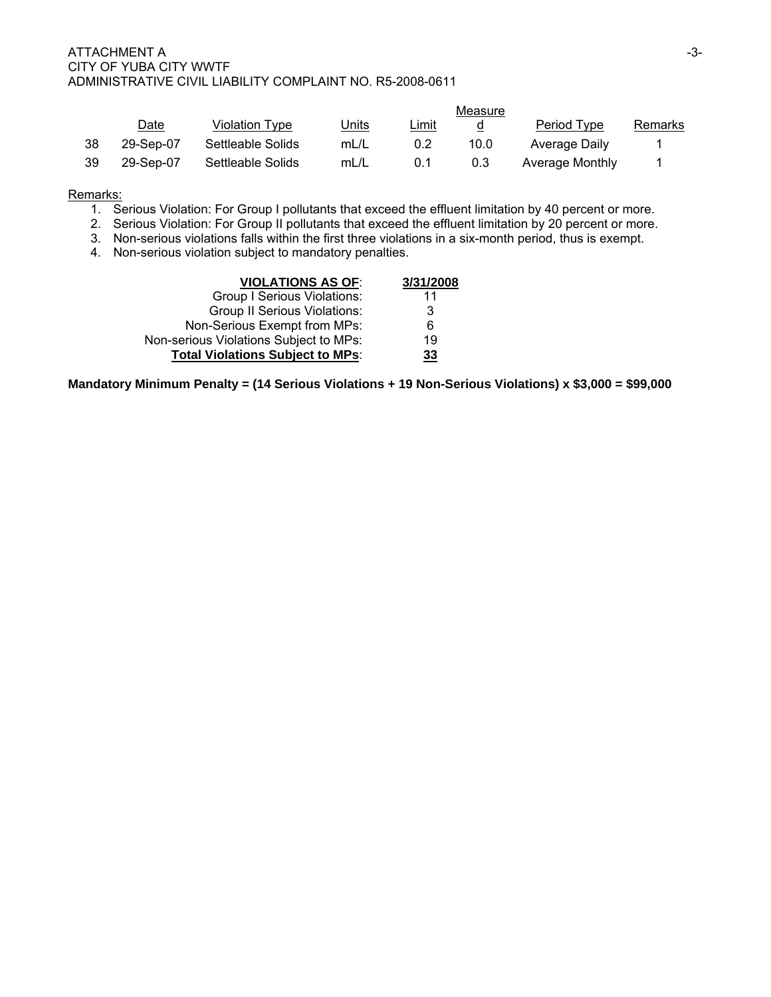|     |             |                   |       |       | Measure |                 |         |
|-----|-------------|-------------------|-------|-------|---------|-----------------|---------|
|     | <u>Date</u> | Violation Type    | Units | Limit | a       | Period Type     | Remarks |
| 38  | 29-Sep-07   | Settleable Solids | mL/L  | 0.2   | 10.0    | Average Daily   |         |
| -39 | 29-Sep-07   | Settleable Solids | mL/L  | 0.1   | 0.3     | Average Monthly |         |

## Remarks:

- 1. Serious Violation: For Group I pollutants that exceed the effluent limitation by 40 percent or more.
- 2. Serious Violation: For Group II pollutants that exceed the effluent limitation by 20 percent or more.
- 3. Non-serious violations falls within the first three violations in a six-month period, thus is exempt.
- 4. Non-serious violation subject to mandatory penalties.

| <b>VIOLATIONS AS OF:</b>                | 3/31/2008 |
|-----------------------------------------|-----------|
| Group I Serious Violations:             | 11        |
| <b>Group II Serious Violations:</b>     | 3         |
| Non-Serious Exempt from MPs:            | 6         |
| Non-serious Violations Subject to MPs:  | 19        |
| <b>Total Violations Subject to MPs:</b> | 33        |

**Mandatory Minimum Penalty = (14 Serious Violations + 19 Non-Serious Violations) x \$3,000 = \$99,000**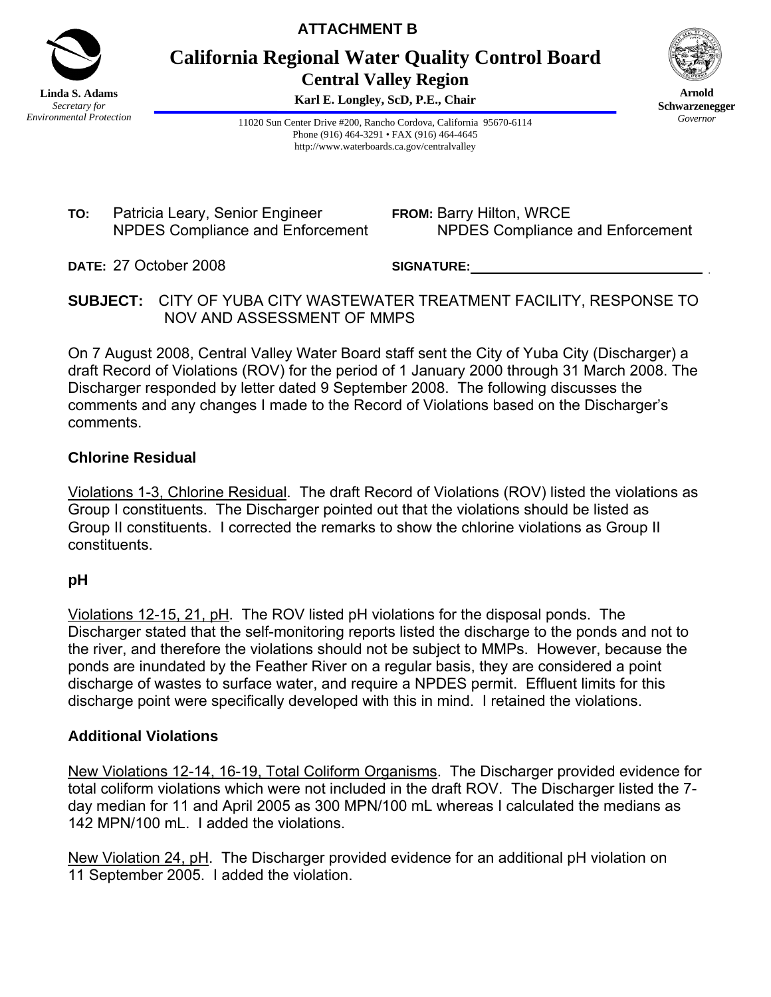

**ATTACHMENT B** 

**California Regional Water Quality Control Board Central Valley Region** 

**Karl E. Longley, ScD, P.E., Chair**



**Arnold Schwarzenegger** *Governor* 

11020 Sun Center Drive #200, Rancho Cordova, California 95670-6114 Phone (916) 464-3291 • FAX (916) 464-4645 http://www.waterboards.ca.gov/centralvalley

**TO:** Patricia Leary, Senior Engineer NPDES Compliance and Enforcement **FROM:** Barry Hilton, WRCE NPDES Compliance and Enforcement

**DATE:** 27 October 2008

**SIGNATURE:** \_

**SUBJECT:** CITY OF YUBA CITY WASTEWATER TREATMENT FACILITY, RESPONSE TO NOV AND ASSESSMENT OF MMPS

On 7 August 2008, Central Valley Water Board staff sent the City of Yuba City (Discharger) a draft Record of Violations (ROV) for the period of 1 January 2000 through 31 March 2008. The Discharger responded by letter dated 9 September 2008. The following discusses the comments and any changes I made to the Record of Violations based on the Discharger's comments.

# **Chlorine Residual**

Violations 1-3, Chlorine Residual. The draft Record of Violations (ROV) listed the violations as Group I constituents. The Discharger pointed out that the violations should be listed as Group II constituents. I corrected the remarks to show the chlorine violations as Group II constituents.

## **pH**

Violations 12-15, 21, pH. The ROV listed pH violations for the disposal ponds. The Discharger stated that the self-monitoring reports listed the discharge to the ponds and not to the river, and therefore the violations should not be subject to MMPs. However, because the ponds are inundated by the Feather River on a regular basis, they are considered a point discharge of wastes to surface water, and require a NPDES permit. Effluent limits for this discharge point were specifically developed with this in mind. I retained the violations.

# **Additional Violations**

New Violations 12-14, 16-19, Total Coliform Organisms. The Discharger provided evidence for total coliform violations which were not included in the draft ROV. The Discharger listed the 7 day median for 11 and April 2005 as 300 MPN/100 mL whereas I calculated the medians as 142 MPN/100 mL. I added the violations.

New Violation 24, pH. The Discharger provided evidence for an additional pH violation on 11 September 2005. I added the violation.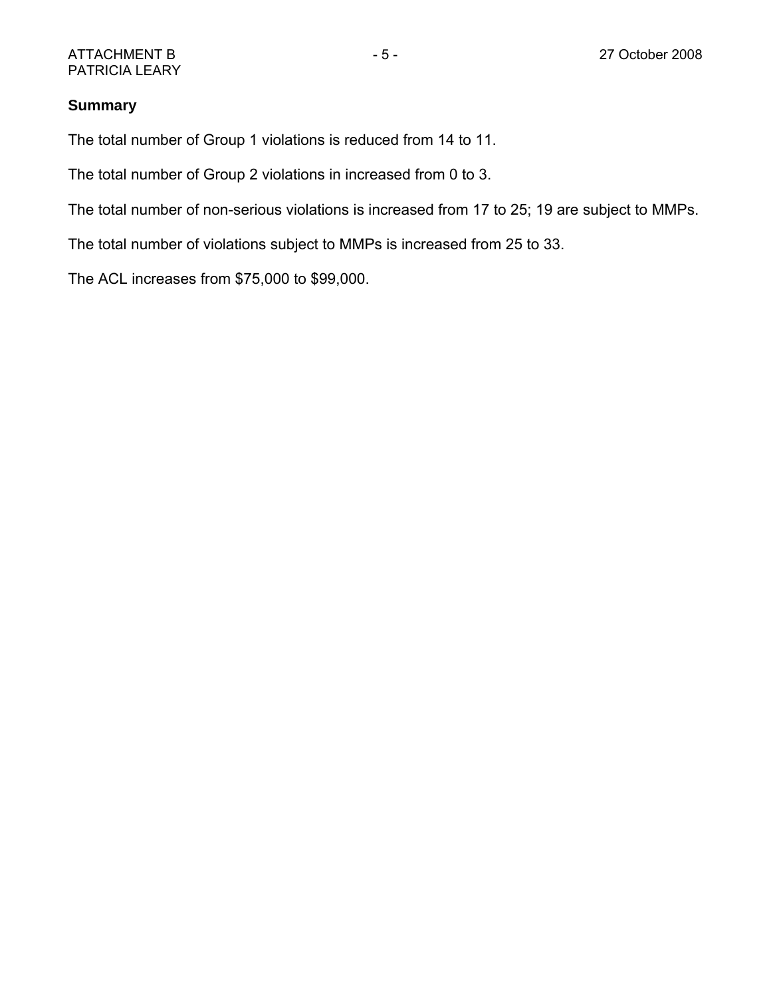# **Summary**

The total number of Group 1 violations is reduced from 14 to 11.

The total number of Group 2 violations in increased from 0 to 3.

The total number of non-serious violations is increased from 17 to 25; 19 are subject to MMPs.

The total number of violations subject to MMPs is increased from 25 to 33.

The ACL increases from \$75,000 to \$99,000.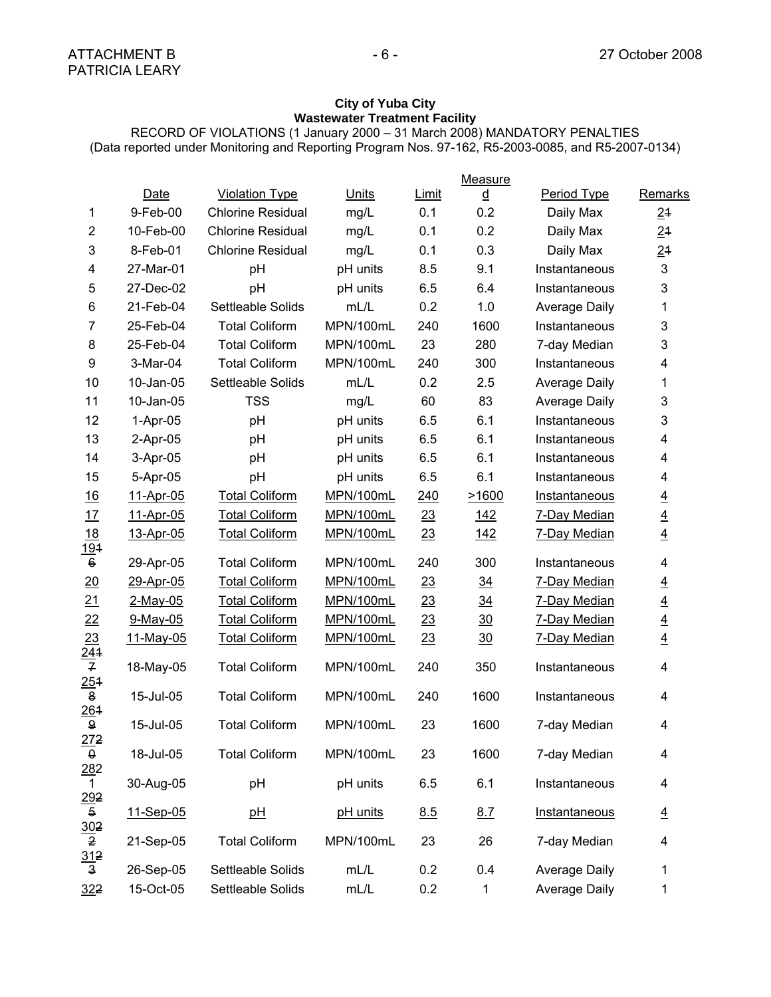### **City of Yuba City Wastewater Treatment Facility**

RECORD OF VIOLATIONS (1 January 2000 – 31 March 2008) MANDATORY PENALTIES

(Data reported under Monitoring and Reporting Program Nos. 97-162, R5-2003-0085, and R5-2007-0134)

|                                 |             |                          |           |       | Measure        |                      |                |
|---------------------------------|-------------|--------------------------|-----------|-------|----------------|----------------------|----------------|
|                                 | Date        | <b>Violation Type</b>    | Units     | Limit | <u>d</u>       | Period Type          | Remarks        |
| 1                               | 9-Feb-00    | <b>Chlorine Residual</b> | mg/L      | 0.1   | 0.2            | Daily Max            | 21             |
| $\overline{2}$                  | 10-Feb-00   | <b>Chlorine Residual</b> | mg/L      | 0.1   | 0.2            | Daily Max            | 21             |
| 3                               | 8-Feb-01    | <b>Chlorine Residual</b> | mg/L      | 0.1   | 0.3            | Daily Max            | 21             |
| 4                               | 27-Mar-01   | pH                       | pH units  | 8.5   | 9.1            | Instantaneous        | 3              |
| 5                               | 27-Dec-02   | pH                       | pH units  | 6.5   | 6.4            | Instantaneous        | 3              |
| 6                               | 21-Feb-04   | Settleable Solids        | mL/L      | 0.2   | 1.0            | <b>Average Daily</b> | 1              |
| 7                               | 25-Feb-04   | <b>Total Coliform</b>    | MPN/100mL | 240   | 1600           | Instantaneous        | 3              |
| 8                               | 25-Feb-04   | <b>Total Coliform</b>    | MPN/100mL | 23    | 280            | 7-day Median         | 3              |
| $\boldsymbol{9}$                | 3-Mar-04    | <b>Total Coliform</b>    | MPN/100mL | 240   | 300            | Instantaneous        | 4              |
| 10                              | 10-Jan-05   | Settleable Solids        | mL/L      | 0.2   | 2.5            | <b>Average Daily</b> | 1              |
| 11                              | 10-Jan-05   | <b>TSS</b>               | mg/L      | 60    | 83             | <b>Average Daily</b> | 3              |
| 12                              | $1-Apr-05$  | pH                       | pH units  | 6.5   | 6.1            | Instantaneous        | 3              |
| 13                              | $2-Apr-05$  | pH                       | pH units  | 6.5   | 6.1            | Instantaneous        | 4              |
| 14                              | 3-Apr-05    | pH                       | pH units  | 6.5   | 6.1            | Instantaneous        | 4              |
| 15                              | 5-Apr-05    | pH                       | pH units  | 6.5   | 6.1            | Instantaneous        | 4              |
| <u>16</u>                       | 11-Apr-05   | Total Coliform           | MPN/100mL | 240   | 21600          | Instantaneous        | $\overline{4}$ |
| 17                              | 11-Apr-05   | <b>Total Coliform</b>    | MPN/100mL | 23    | <u>142</u>     | <b>7-Day Median</b>  | $\overline{4}$ |
| 18<br><u> 191</u>               | 13-Apr-05   | <b>Total Coliform</b>    | MPN/100mL | 23    | 142            | 7-Day Median         | $\overline{4}$ |
| $\mathbf 6$                     | 29-Apr-05   | <b>Total Coliform</b>    | MPN/100mL | 240   | 300            | Instantaneous        | 4              |
| 20                              | 29-Apr-05   | <b>Total Coliform</b>    | MPN/100mL | 23    | $\frac{34}{5}$ | 7-Day Median         | $\overline{4}$ |
| 21                              | $2$ -May-05 | <b>Total Coliform</b>    | MPN/100mL | 23    | $\frac{34}{5}$ | 7-Day Median         | $\overline{4}$ |
| 22                              | $9$ -May-05 | <b>Total Coliform</b>    | MPN/100mL | 23    | 30             | 7-Day Median         | $\overline{4}$ |
| $\frac{23}{244}$                | 11-May-05   | <b>Total Coliform</b>    | MPN/100mL | 23    | $\frac{30}{2}$ | <b>7-Day Median</b>  | $\overline{4}$ |
| 251                             | 18-May-05   | <b>Total Coliform</b>    | MPN/100mL | 240   | 350            | Instantaneous        | 4              |
| $\pmb{8}$<br>264                | 15-Jul-05   | <b>Total Coliform</b>    | MPN/100mL | 240   | 1600           | Instantaneous        | 4              |
| $\pmb{9}$<br>$\frac{272}{9}$    | 15-Jul-05   | <b>Total Coliform</b>    | MPN/100mL | 23    | 1600           | 7-day Median         | 4              |
| 282                             | 18-Jul-05   | <b>Total Coliform</b>    | MPN/100mL | 23    | 1600           | 7-day Median         | 4              |
| $\mathbf{1}$<br>$\frac{292}{5}$ | 30-Aug-05   | pH                       | pH units  | 6.5   | 6.1            | Instantaneous        | 4              |
| <u>30</u> 2                     | 11-Sep-05   | <u>pH</u>                | pH units  | 8.5   | 8.7            | Instantaneous        | $\overline{4}$ |
| $\mathbf 2$<br>312              | 21-Sep-05   | <b>Total Coliform</b>    | MPN/100mL | 23    | 26             | 7-day Median         | 4              |
| $\mathbf{3}$                    | 26-Sep-05   | Settleable Solids        | mL/L      | 0.2   | 0.4            | <b>Average Daily</b> | 1              |
| 322                             | 15-Oct-05   | Settleable Solids        | mL/L      | 0.2   | 1              | <b>Average Daily</b> | 1              |